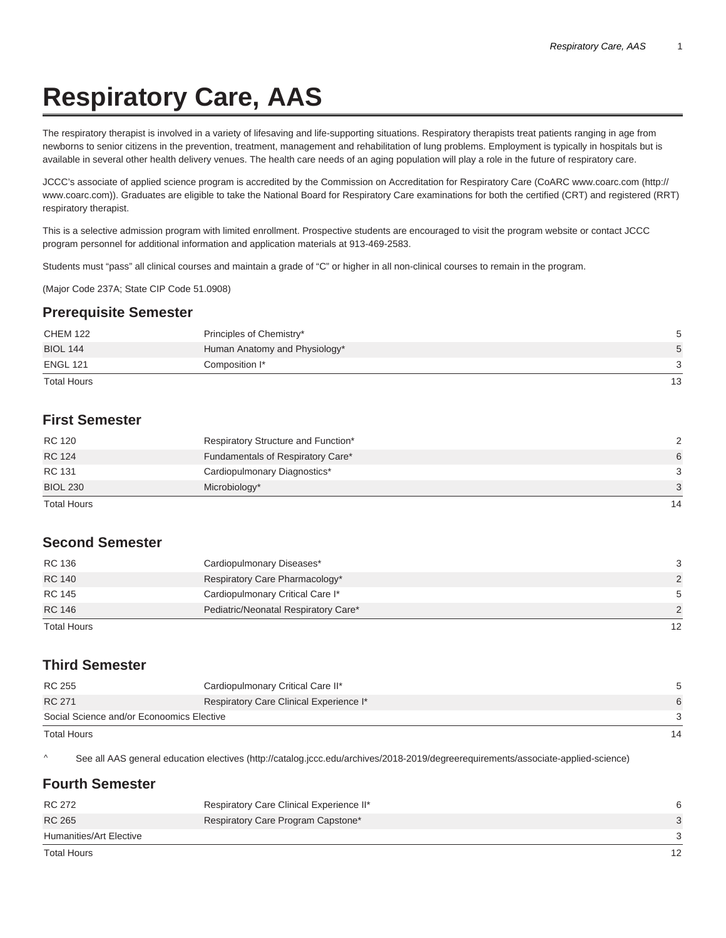# **Respiratory Care, AAS**

The respiratory therapist is involved in a variety of lifesaving and life-supporting situations. Respiratory therapists treat patients ranging in age from newborns to senior citizens in the prevention, treatment, management and rehabilitation of lung problems. Employment is typically in hospitals but is available in several other health delivery venues. The health care needs of an aging population will play a role in the future of respiratory care.

JCCC's associate of applied science program is accredited by the Commission on Accreditation for Respiratory Care (CoARC www.coarc.com (http:// www.coarc.com)). Graduates are eligible to take the National Board for Respiratory Care examinations for both the certified (CRT) and registered (RRT) respiratory therapist.

This is a selective admission program with limited enrollment. Prospective students are encouraged to visit the program website or contact JCCC program personnel for additional information and application materials at 913-469-2583.

Students must "pass" all clinical courses and maintain a grade of "C" or higher in all non-clinical courses to remain in the program.

(Major Code 237A; State CIP Code 51.0908)

#### **Prerequisite Semester**

| <b>ENGL 121</b><br><b>Total Hours</b> | Composition I*                | 3<br>13 |
|---------------------------------------|-------------------------------|---------|
| <b>BIOL 144</b>                       | Human Anatomy and Physiology* | 5       |
| <b>CHEM 122</b>                       | Principles of Chemistry*      | 5       |

## **First Semester**

| RC 120             | Respiratory Structure and Function* | $\mathcal{D}$ |
|--------------------|-------------------------------------|---------------|
| <b>RC 124</b>      | Fundamentals of Respiratory Care*   | 6             |
| RC 131             | Cardiopulmonary Diagnostics*        | 3             |
| <b>BIOL 230</b>    | Microbiology*                       | 3             |
| <b>Total Hours</b> |                                     | 14            |

### **Second Semester**

| RC 136        | Cardiopulmonary Diseases*            | 3  |
|---------------|--------------------------------------|----|
| <b>RC 140</b> | Respiratory Care Pharmacology*       | 2  |
| <b>RC 145</b> | Cardiopulmonary Critical Care I*     | 5  |
| <b>RC 146</b> | Pediatric/Neonatal Respiratory Care* | 2  |
| Total Hours   |                                      | 12 |

### **Third Semester**

| RC 255                                    | Cardiopulmonary Critical Care II*       |    |
|-------------------------------------------|-----------------------------------------|----|
| <b>RC 271</b>                             | Respiratory Care Clinical Experience I* | 6  |
| Social Science and/or Econoomics Elective |                                         |    |
| <b>Total Hours</b>                        |                                         | 14 |

^ See all AAS general education electives (http://catalog.jccc.edu/archives/2018-2019/degreerequirements/associate-applied-science)

### **Fourth Semester**

| RC 272                  | Respiratory Care Clinical Experience II* |  |
|-------------------------|------------------------------------------|--|
| <b>RC 265</b>           | Respiratory Care Program Capstone*       |  |
| Humanities/Art Elective |                                          |  |
| Total Hours             |                                          |  |